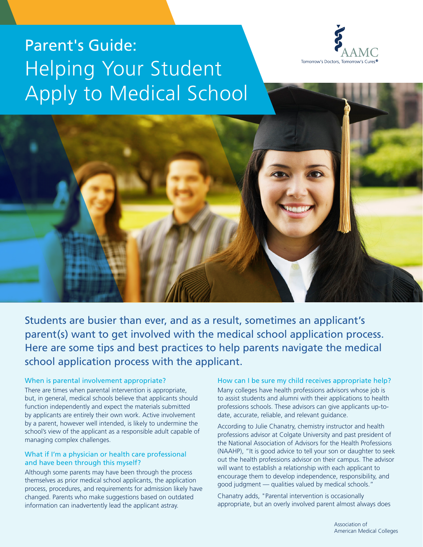





Students are busier than ever, and as a result, sometimes an applicant's parent(s) want to get involved with the medical school application process. Here are some tips and best practices to help parents navigate the medical school application process with the applicant.

#### When is parental involvement appropriate?

There are times when parental intervention is appropriate, but, in general, medical schools believe that applicants should function independently and expect the materials submitted by applicants are entirely their own work. Active involvement by a parent, however well intended, is likely to undermine the school's view of the applicant as a responsible adult capable of managing complex challenges.

## What if I'm a physician or health care professional and have been through this myself?

Although some parents may have been through the process themselves as prior medical school applicants, the application process, procedures, and requirements for admission likely have changed. Parents who make suggestions based on outdated information can inadvertently lead the applicant astray.

#### How can I be sure my child receives appropriate help?

Many colleges have health professions advisors whose job is to assist students and alumni with their applications to health professions schools. These advisors can give applicants up-todate, accurate, reliable, and relevant guidance.

According to Julie Chanatry, chemistry instructor and health professions advisor at Colgate University and past president of the National Association of Advisors for the Health Professions (NAAHP), "It is good advice to tell your son or daughter to seek out the health professions advisor on their campus. The advisor will want to establish a relationship with each applicant to encourage them to develop independence, responsibility, and good judgment — qualities valued by medical schools."

Chanatry adds, "Parental intervention is occasionally appropriate, but an overly involved parent almost always does